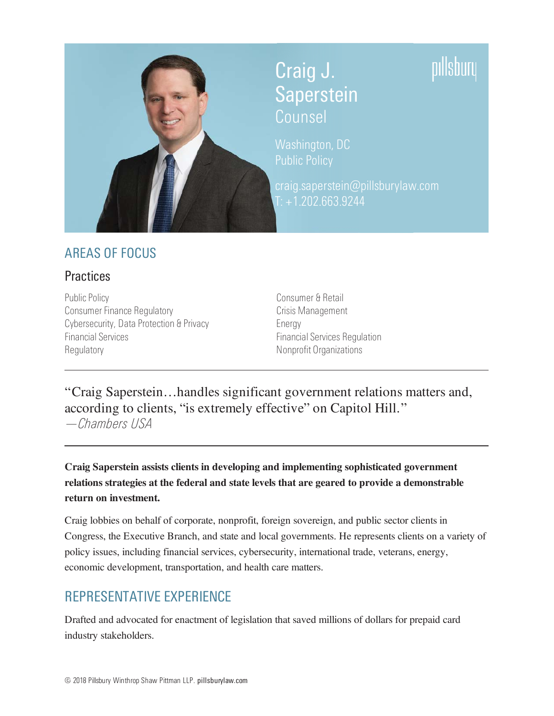

# Craig J. Saperstein Counsel

Washington, DC

craig.saperstein@pillsburylaw.com  $T: +1.202.663.9244$ 

# **AREAS OF FOCUS**

### **Practices**

**Public Policy Consumer Finance Regulatory** Cybersecurity, Data Protection & Privacy **Financial Services** Regulatory

Consumer & Retail Crisis Management Energy **Financial Services Regulation** Nonprofit Organizations

"Craig Saperstein...handles significant government relations matters and, according to clients, "is extremely effective" on Capitol Hill." -Chambers USA

Craig Saperstein assists clients in developing and implementing sophisticated government relations strategies at the federal and state levels that are geared to provide a demonstrable return on investment.

Craig lobbies on behalf of corporate, nonprofit, foreign sovereign, and public sector clients in Congress, the Executive Branch, and state and local governments. He represents clients on a variety of policy issues, including financial services, cybersecurity, international trade, veterans, energy, economic development, transportation, and health care matters.

# **REPRESENTATIVE EXPERIENCE**

Drafted and advocated for enactment of legislation that saved millions of dollars for prepaid card industry stakeholders.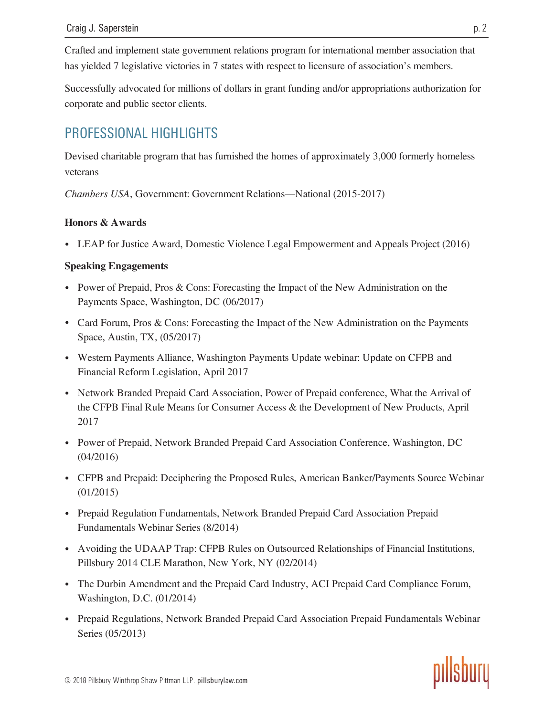Crafted and implement state government relations program for international member association that has vielded 7 legislative victories in 7 states with respect to licensure of association's members.

Successfully advocated for millions of dollars in grant funding and/or appropriations authorization for corporate and public sector clients.

# PROFESSIONAL HIGHLIGHTS

Devised charitable program that has furnished the homes of approximately 3,000 formerly homeless veterans

Chambers USA, Government: Government Relations-National (2015-2017)

#### **Honors & Awards**

• LEAP for Justice Award, Domestic Violence Legal Empowerment and Appeals Project (2016)

#### **Speaking Engagements**

- Power of Prepaid, Pros & Cons: Forecasting the Impact of the New Administration on the Payments Space, Washington, DC (06/2017)
- Card Forum, Pros & Cons: Forecasting the Impact of the New Administration on the Payments Space, Austin, TX, (05/2017)
- Western Payments Alliance, Washington Payments Update webinar: Update on CFPB and Financial Reform Legislation, April 2017
- Network Branded Prepaid Card Association, Power of Prepaid conference, What the Arrival of the CFPB Final Rule Means for Consumer Access & the Development of New Products, April 2017
- Power of Prepaid, Network Branded Prepaid Card Association Conference, Washington, DC  $(04/2016)$
- CFPB and Prepaid: Deciphering the Proposed Rules, American Banker/Payments Source Webinar  $(01/2015)$
- Prepaid Regulation Fundamentals, Network Branded Prepaid Card Association Prepaid Fundamentals Webinar Series (8/2014)
- Avoiding the UDAAP Trap: CFPB Rules on Outsourced Relationships of Financial Institutions, Pillsbury 2014 CLE Marathon, New York, NY (02/2014)
- The Durbin Amendment and the Prepaid Card Industry, ACI Prepaid Card Compliance Forum, Washington, D.C. (01/2014)
- Prepaid Regulations, Network Branded Prepaid Card Association Prepaid Fundamentals Webinar Series (05/2013)